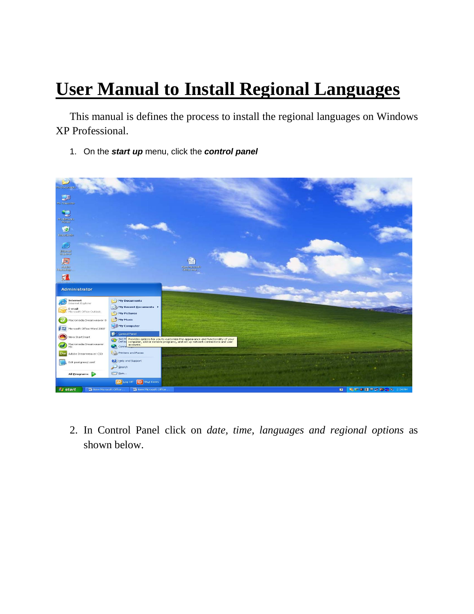## **User Manual to Install Regional Languages**

This manual is defines the process to install the regional languages on Windows XP Professional.

1. On the *start up* menu, click the *control panel*



2. In Control Panel click on *date, time, languages and regional options* as shown below.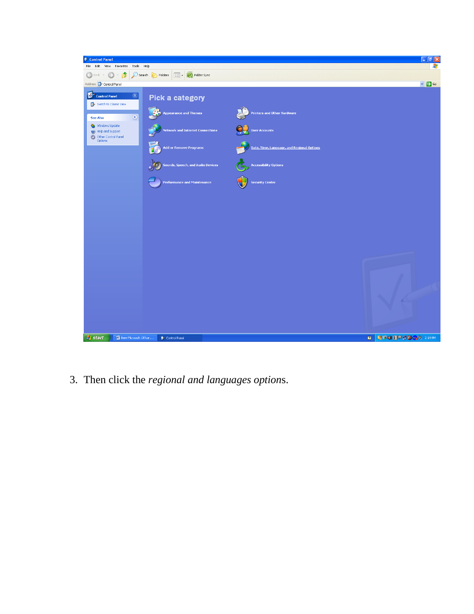

3. Then click the regional and languages options.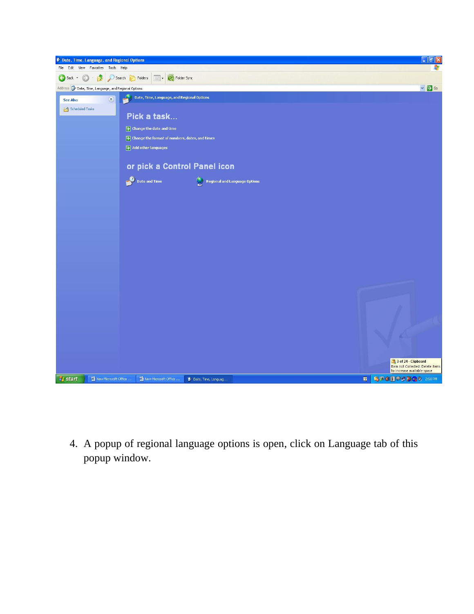

4. A popup of regional language options is open, click on Language tab of this popup window.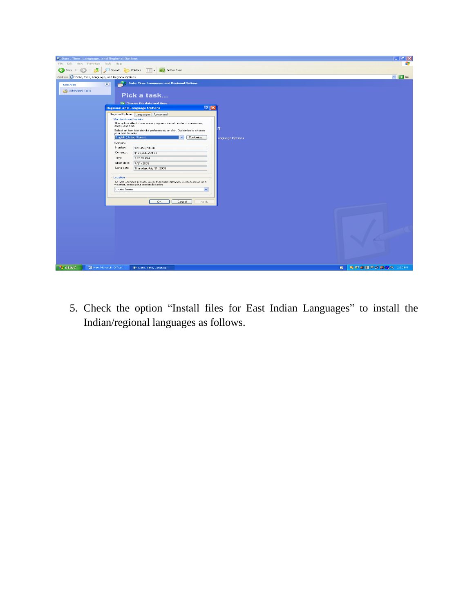

5. Check the option "Install files for East Indian Languages" to install the Indian/regional languages as follows.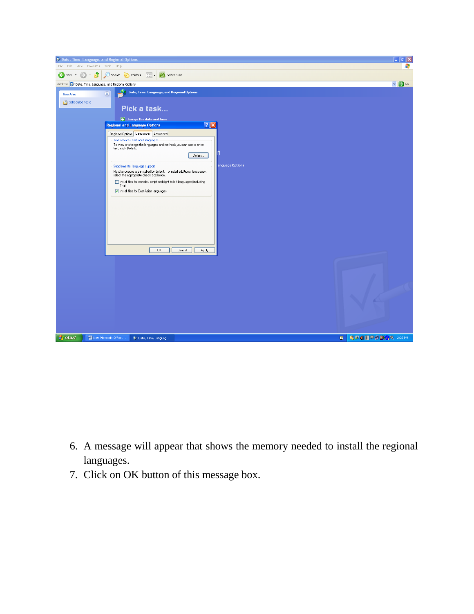

- 6. A message will appear that shows the memory needed to install the regional languages.
- 7. Click on OK button of this message box.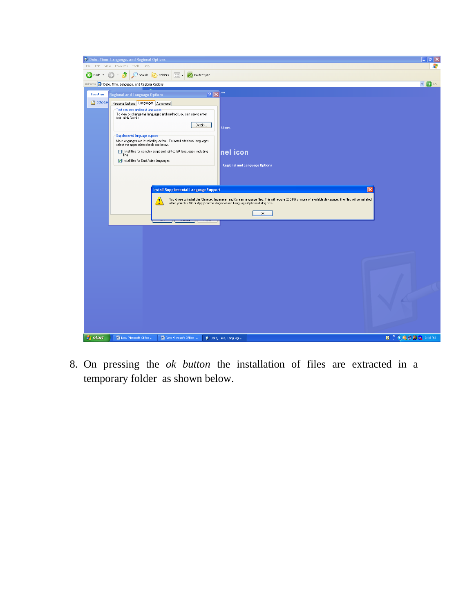

8. On pressing the *ok button* the installation of files are extracted in a temporary folder as shown below.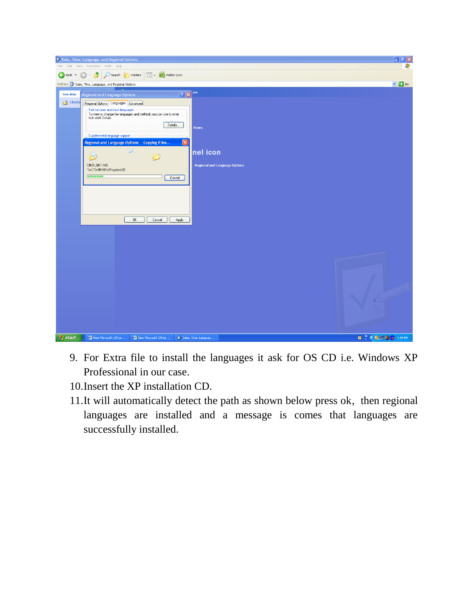

- 9. For Extra file to install the languages it ask for OS CD i.e. Windows XP Professional in our case.
- 10.Insert the XP installation CD.
- 11.It will automatically detect the path as shown below press ok, then regional languages are installed and a message is comes that languages are successfully installed.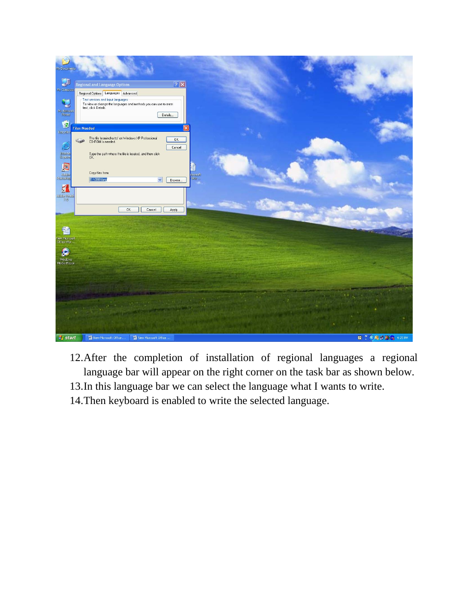

- 12.After the completion of installation of regional languages a regional language bar will appear on the right corner on the task bar as shown below.
- 13.In this language bar we can select the language what I wants to write.
- 14.Then keyboard is enabled to write the selected language.